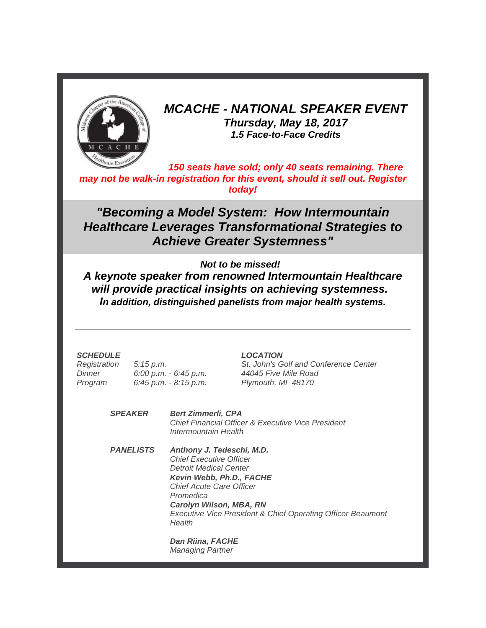

# *MCACHE - NATIONAL SPEAKER EVENT Thursday, May 18, 2017 1.5 Face-to-Face Credits*

*150 seats have sold; only 40 seats remaining. There may not be walk-in registration for this event, should it sell out. Register today!*

*"Becoming a Model System: How Intermountain Healthcare Leverages Transformational Strategies to Achieve Greater Systemness"*

### *Not to be missed!*

*A keynote speaker from renowned Intermountain Healthcare will provide practical insights on achieving systemness. In addition, distinguished panelists from major health systems.*

#### *SCHEDULE*

*Registration Dinner Program 5:15 p.m. 6:00 p.m. - 6:45 p.m. 6:45 p.m. - 8:15 p.m.* *LOCATION*

*St. John's Golf and Conference Center 44045 Five Mile Road Plymouth, MI 48170*

*SPEAKER Bert Zimmerli, CPA Chief Financial Officer & Executive Vice President Intermountain Health*

*PANELISTS Anthony J. Tedeschi, M.D. Chief Executive Officer Detroit Medical Center Kevin Webb, Ph.D., FACHE Chief Acute Care Officer Promedica Carolyn Wilson, MBA, RN Executive Vice President & Chief Operating Officer Beaumont Health*

> *Dan Riina, FACHE Managing Partner*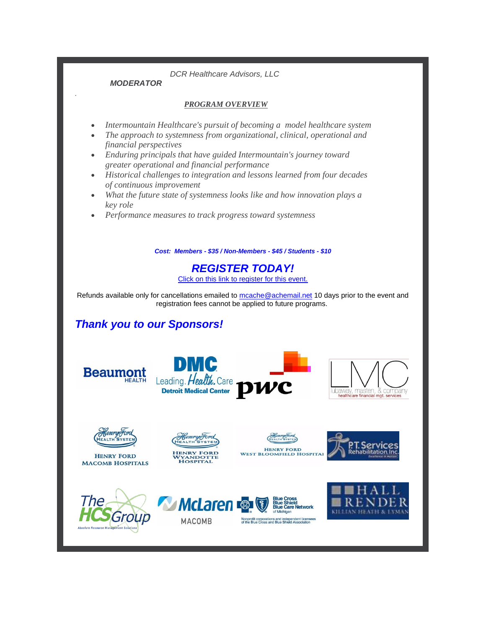*DCR Healthcare Advisors, LLC*

#### *MODERATOR*

*.*

#### *PROGRAM OVERVIEW*

- *Intermountain Healthcare's pursuit of becoming a model healthcare system*
- *The approach to systemness from organizational, clinical, operational and financial perspectives*
- *Enduring principals that have guided Intermountain's journey toward greater operational and financial performance*
- *Historical challenges to integration and lessons learned from four decades of continuous improvement*
- *What the future state of systemness looks like and how innovation plays a key role*
- *Performance measures to track progress toward systemness*

*Cost: Members - \$35 / Non-Members - \$45 / Students - \$10*

*REGISTER TODAY!*

[Click on this link to register for this event.](http://r20.rs6.net/tn.jsp?f=001idtE_hON7ixXUSSyECnZBmip3G2vzlpkLorp70wdEvg5_fpkq6A6ynxQHkBxdX6eDNefJ6wioRXWXQXy6e08f7tNTPO7aWMTIohIzqztPRbcZ_jIa2YWsSbiyCPbE_S0nhxegvwrLuMBbOOJ5FsTCzwr8EmCLoii_33vKE044gpfw4PyXwykwps_1eh3IjizVK5_r6QF7cpN9_83e9CUhGRYKhlSFop8A_DQHB7NGurhqONF7OQd4RTylkrGPO5K8b95s8utHdKY2nSQOpf0iA==&c=xZc7P7z7vw8xLJBV7H2kzK-ai4HJcoHcyZg9ZhZ6s9AIdbhGDgUPBA==&ch=rMQmKwNGWPbxa_g8iYzDTavbXqLVf5j8VJ-Yukq3KzcXh6Nr7BB8zg==)

Refunds available only for cancellations emailed to [mcache@achemail.net](mailto:mcache@achemail.net) 10 days prior to the event and registration fees cannot be applied to future programs.

## *Thank you to our Sponsors!*



**McLaren** 

**MACOMB** 





**HENRY FORD MACOMB HOSPITALS**